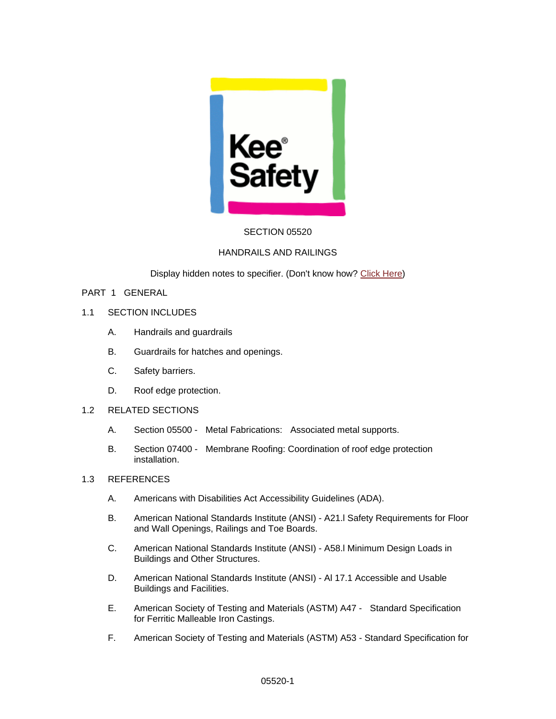

## SECTION 05520

### HANDRAILS AND RAILINGS

Display hidden notes to specifier. (Don't know how? [Click Here](http://www.arcat.com/sd/display_hidden_notes.shtml))

### PART 1 GENERAL

- 1.1 SECTION INCLUDES
	- A. Handrails and guardrails
	- B. Guardrails for hatches and openings.
	- C. Safety barriers.
	- D. Roof edge protection.
- 1.2 RELATED SECTIONS
	- A. Section 05500 Metal Fabrications: Associated metal supports.
	- B. Section 07400 Membrane Roofing: Coordination of roof edge protection installation.

### 1.3 REFERENCES

- A. Americans with Disabilities Act Accessibility Guidelines (ADA).
- B. American National Standards Institute (ANSI) A21.l Safety Requirements for Floor and Wall Openings, Railings and Toe Boards.
- C. American National Standards Institute (ANSI) A58.l Minimum Design Loads in Buildings and Other Structures.
- D. American National Standards Institute (ANSI) Al 17.1 Accessible and Usable Buildings and Facilities.
- E. American Society of Testing and Materials (ASTM) A47 Standard Specification for Ferritic Malleable Iron Castings.
- F. American Society of Testing and Materials (ASTM) A53 Standard Specification for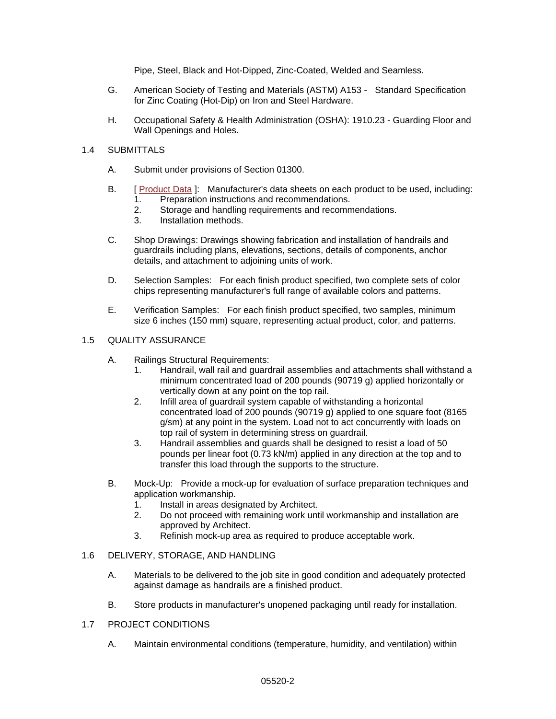Pipe, Steel, Black and Hot-Dipped, Zinc-Coated, Welded and Seamless.

- G. American Society of Testing and Materials (ASTM) A153 Standard Specification for Zinc Coating (Hot-Dip) on Iron and Steel Hardware.
- H. Occupational Safety & Health Administration (OSHA): 1910.23 Guarding Floor and Wall Openings and Holes.

### 1.4 SUBMITTALS

- A. Submit under provisions of Section 01300.
- B. [ [Product Data](http://www.arcat.com/arcatcos/cos33/arc33541.cfm) ]: Manufacturer's data sheets on each product to be used, including:
	- 1. Preparation instructions and recommendations.
	- 2. Storage and handling requirements and recommendations.<br>3. Installation methods.
	- Installation methods.
- C. Shop Drawings: Drawings showing fabrication and installation of handrails and guardrails including plans, elevations, sections, details of components, anchor details, and attachment to adjoining units of work.
- D. Selection Samples: For each finish product specified, two complete sets of color chips representing manufacturer's full range of available colors and patterns.
- E. Verification Samples: For each finish product specified, two samples, minimum size 6 inches (150 mm) square, representing actual product, color, and patterns.

### 1.5 QUALITY ASSURANCE

- A. Railings Structural Requirements:
	- 1. Handrail, wall rail and guardrail assemblies and attachments shall withstand a minimum concentrated load of 200 pounds (90719 g) applied horizontally or vertically down at any point on the top rail.
	- 2. Infill area of guardrail system capable of withstanding a horizontal concentrated load of 200 pounds (90719 g) applied to one square foot (8165 g/sm) at any point in the system. Load not to act concurrently with loads on top rail of system in determining stress on guardrail.
	- 3. Handrail assemblies and guards shall be designed to resist a load of 50 pounds per linear foot (0.73 kN/m) applied in any direction at the top and to transfer this load through the supports to the structure.
- B. Mock-Up: Provide a mock-up for evaluation of surface preparation techniques and application workmanship.
	- 1. Install in areas designated by Architect.
	- 2. Do not proceed with remaining work until workmanship and installation are approved by Architect.
	- 3. Refinish mock-up area as required to produce acceptable work.

## 1.6 DELIVERY, STORAGE, AND HANDLING

- A. Materials to be delivered to the job site in good condition and adequately protected against damage as handrails are a finished product.
- B. Store products in manufacturer's unopened packaging until ready for installation.
- 1.7 PROJECT CONDITIONS
	- A. Maintain environmental conditions (temperature, humidity, and ventilation) within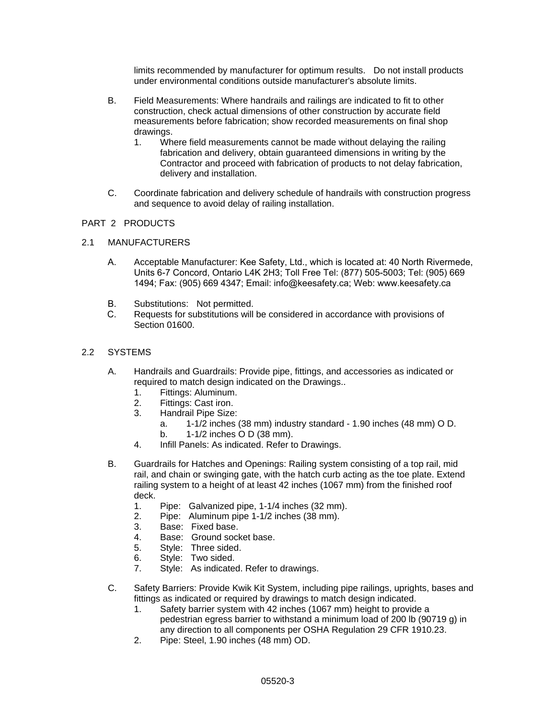limits recommended by manufacturer for optimum results. Do not install products under environmental conditions outside manufacturer's absolute limits.

- B. Field Measurements: Where handrails and railings are indicated to fit to other construction, check actual dimensions of other construction by accurate field measurements before fabrication; show recorded measurements on final shop drawings.
	- 1. Where field measurements cannot be made without delaying the railing fabrication and delivery, obtain guaranteed dimensions in writing by the Contractor and proceed with fabrication of products to not delay fabrication, delivery and installation.
- C. Coordinate fabrication and delivery schedule of handrails with construction progress and sequence to avoid delay of railing installation.

## PART 2 PRODUCTS

- 2.1 MANUFACTURERS
	- A. Acceptable Manufacturer: Kee Safety, Ltd., which is located at: 40 North Rivermede, Units 6-7 Concord, Ontario L4K 2H3; Toll Free Tel: (877) 505-5003; Tel: (905) 669 1494; Fax: (905) 669 4347; Email: info@keesafety.ca; Web: www.keesafety.ca
	- B. Substitutions: Not permitted.<br>C. Requests for substitutions will
	- Requests for substitutions will be considered in accordance with provisions of Section 01600.

# 2.2 SYSTEMS

- A. Handrails and Guardrails: Provide pipe, fittings, and accessories as indicated or required to match design indicated on the Drawings..
	- 1. Fittings: Aluminum.
	- 2. Fittings: Cast iron.
	- 3. Handrail Pipe Size:
		- a. 1-1/2 inches (38 mm) industry standard 1.90 inches (48 mm) O D.
		- b. 1-1/2 inches O D (38 mm).
	- 4. Infill Panels: As indicated. Refer to Drawings.
- B. Guardrails for Hatches and Openings: Railing system consisting of a top rail, mid rail, and chain or swinging gate, with the hatch curb acting as the toe plate. Extend railing system to a height of at least 42 inches (1067 mm) from the finished roof deck.
	- 1. Pipe: Galvanized pipe, 1-1/4 inches (32 mm).
	- 2. Pipe: Aluminum pipe 1-1/2 inches (38 mm).
	- 3. Base: Fixed base.
	- 4. Base: Ground socket base.
	- 5. Style: Three sided.
	- 6. Style: Two sided.
	- 7. Style: As indicated. Refer to drawings.
- C. Safety Barriers: Provide Kwik Kit System, including pipe railings, uprights, bases and fittings as indicated or required by drawings to match design indicated.
	- 1. Safety barrier system with 42 inches (1067 mm) height to provide a pedestrian egress barrier to withstand a minimum load of 200 lb (90719 g) in any direction to all components per OSHA Regulation 29 CFR 1910.23.
	- 2. Pipe: Steel, 1.90 inches (48 mm) OD.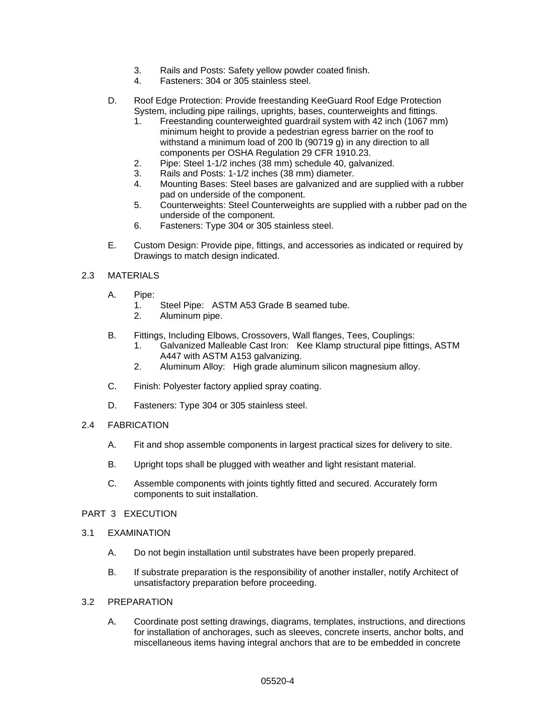- 3. Rails and Posts: Safety yellow powder coated finish.
- 4. Fasteners: 304 or 305 stainless steel.
- D. Roof Edge Protection: Provide freestanding KeeGuard Roof Edge Protection System, including pipe railings, uprights, bases, counterweights and fittings.
	- 1. Freestanding counterweighted guardrail system with 42 inch (1067 mm) minimum height to provide a pedestrian egress barrier on the roof to withstand a minimum load of 200 lb (90719 g) in any direction to all components per OSHA Regulation 29 CFR 1910.23.
	- 2. Pipe: Steel 1-1/2 inches (38 mm) schedule 40, galvanized.
	- 3. Rails and Posts: 1-1/2 inches (38 mm) diameter.
	- 4. Mounting Bases: Steel bases are galvanized and are supplied with a rubber pad on underside of the component.
	- 5. Counterweights: Steel Counterweights are supplied with a rubber pad on the underside of the component.
	- 6. Fasteners: Type 304 or 305 stainless steel.
- E. Custom Design: Provide pipe, fittings, and accessories as indicated or required by Drawings to match design indicated.

## 2.3 MATERIALS

- A. Pipe:
	- 1. Steel Pipe: ASTM A53 Grade B seamed tube.
	- 2. Aluminum pipe.
- B. Fittings, Including Elbows, Crossovers, Wall flanges, Tees, Couplings:
	- 1. Galvanized Malleable Cast Iron: Kee Klamp structural pipe fittings, ASTM A447 with ASTM A153 galvanizing.
	- 2. Aluminum Alloy: High grade aluminum silicon magnesium alloy.
- C. Finish: Polyester factory applied spray coating.
- D. Fasteners: Type 304 or 305 stainless steel.
- 2.4 FABRICATION
	- A. Fit and shop assemble components in largest practical sizes for delivery to site.
	- B. Upright tops shall be plugged with weather and light resistant material.
	- C. Assemble components with joints tightly fitted and secured. Accurately form components to suit installation.

### PART 3 EXECUTION

- 3.1 EXAMINATION
	- A. Do not begin installation until substrates have been properly prepared.
	- B. If substrate preparation is the responsibility of another installer, notify Architect of unsatisfactory preparation before proceeding.

### 3.2 PREPARATION

A. Coordinate post setting drawings, diagrams, templates, instructions, and directions for installation of anchorages, such as sleeves, concrete inserts, anchor bolts, and miscellaneous items having integral anchors that are to be embedded in concrete